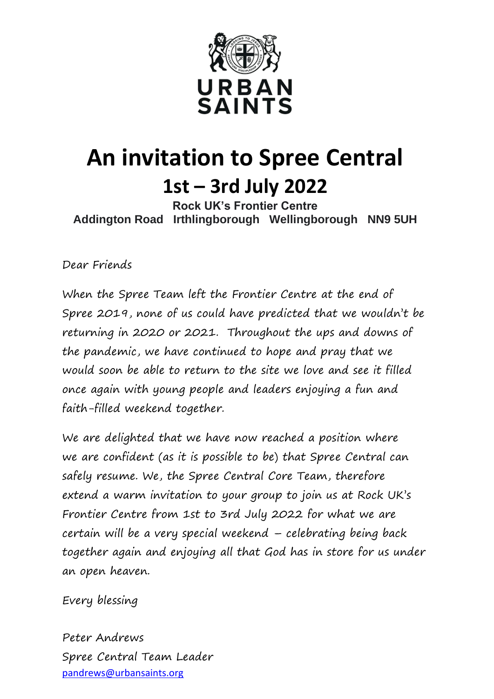

# **An invitation to Spree Central 1st – 3rd July 2022**

**Rock UK's Frontier Centre Addington Road Irthlingborough Wellingborough NN9 5UH**

Dear Friends

When the Spree Team left the Frontier Centre at the end of Spree 2019, none of us could have predicted that we wouldn't be returning in 2020 or 2021. Throughout the ups and downs of the pandemic, we have continued to hope and pray that we would soon be able to return to the site we love and see it filled once again with young people and leaders enjoying a fun and faith-filled weekend together.

We are delighted that we have now reached a position where we are confident (as it is possible to be) that Spree Central can safely resume. We, the Spree Central Core Team, therefore extend a warm invitation to your group to join us at Rock UK's Frontier Centre from 1st to 3rd July 2022 for what we are certain will be a very special weekend – celebrating being back together again and enjoying all that God has in store for us under an open heaven.

Every blessing

Peter Andrews Spree Central Team Leader [pandrews@urbansaints.org](mailto:pandrews@urbansaints.org)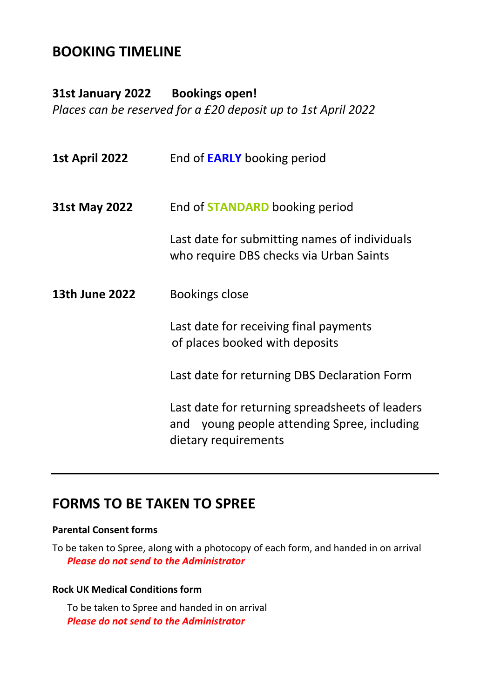### **BOOKING TIMELINE**

**31st January 2022 Bookings open!** *Places can be reserved for a £20 deposit up to 1st April 2022*

| 1st April 2022 | End of <b>EARLY</b> booking period                                                                                        |
|----------------|---------------------------------------------------------------------------------------------------------------------------|
| 31st May 2022  | End of <b>STANDARD</b> booking period                                                                                     |
|                | Last date for submitting names of individuals<br>who require DBS checks via Urban Saints                                  |
| 13th June 2022 | <b>Bookings close</b>                                                                                                     |
|                | Last date for receiving final payments<br>of places booked with deposits                                                  |
|                | Last date for returning DBS Declaration Form                                                                              |
|                | Last date for returning spreadsheets of leaders<br>young people attending Spree, including<br>and<br>dietary requirements |

### **FORMS TO BE TAKEN TO SPREE**

#### **Parental Consent forms**

To be taken to Spree, along with a photocopy of each form, and handed in on arrival *Please do not send to the Administrator*

#### **Rock UK Medical Conditions form**

To be taken to Spree and handed in on arrival *Please do not send to the Administrator*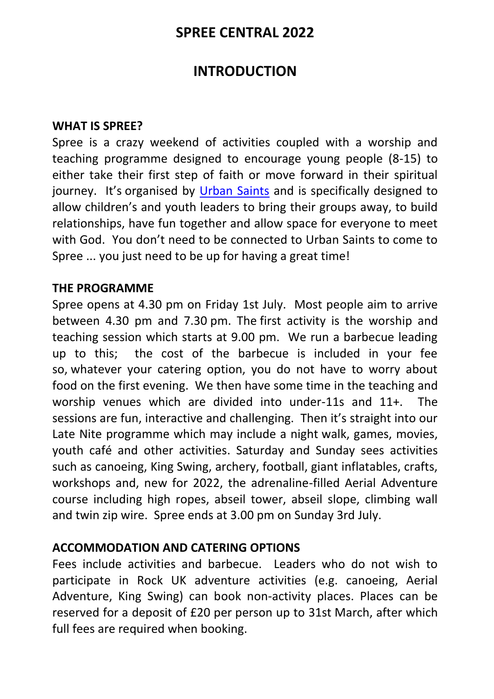### **SPREE CENTRAL 2022**

### **INTRODUCTION**

#### **WHAT IS SPREE?**

Spree is a crazy weekend of activities coupled with a worship and teaching programme designed to encourage young people (8-15) to either take their first step of faith or move forward in their spiritual journey. It's organised by [Urban Saints](https://www.urbansaints.org/) and is specifically designed to allow children's and youth leaders to bring their groups away, to build relationships, have fun together and allow space for everyone to meet with God. You don't need to be connected to Urban Saints to come to Spree ... you just need to be up for having a great time!

#### **THE PROGRAMME**

Spree opens at 4.30 pm on Friday 1st July. Most people aim to arrive between 4.30 pm and 7.30 pm. The first activity is the worship and teaching session which starts at 9.00 pm. We run a barbecue leading up to this; the cost of the barbecue is included in your fee so, whatever your catering option, you do not have to worry about food on the first evening. We then have some time in the teaching and worship venues which are divided into under-11s and 11+. The sessions are fun, interactive and challenging. Then it's straight into our Late Nite programme which may include a night walk, games, movies, youth café and other activities. Saturday and Sunday sees activities such as canoeing, King Swing, archery, football, giant inflatables, crafts, workshops and, new for 2022, the adrenaline-filled Aerial Adventure course including high ropes, abseil tower, abseil slope, climbing wall and twin zip wire. Spree ends at 3.00 pm on Sunday 3rd July.

### **ACCOMMODATION AND CATERING OPTIONS**

Fees include activities and barbecue. Leaders who do not wish to participate in Rock UK adventure activities (e.g. canoeing, Aerial Adventure, King Swing) can book non-activity places. Places can be reserved for a deposit of £20 per person up to 31st March, after which full fees are required when booking.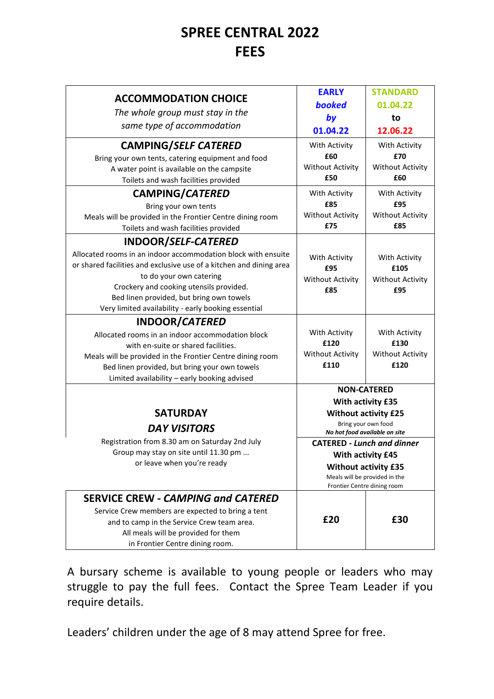### **SPREE CENTRAL 2022 FEES**

| <b>ACCOMMODATION CHOICE</b><br>The whole group must stay in the<br>same type of accommodation<br><b>CAMPING/SELF CATERED</b><br>Bring your own tents, catering equipment and food                                                                                                                                                    | <b>EARLY</b><br><b>booked</b><br>by<br>01.04.22<br>With Activity<br>£60                                                                                                                                                        | <b>STANDARD</b><br>01.04.22<br>to<br>12.06.22<br>With Activity<br>£70 |
|--------------------------------------------------------------------------------------------------------------------------------------------------------------------------------------------------------------------------------------------------------------------------------------------------------------------------------------|--------------------------------------------------------------------------------------------------------------------------------------------------------------------------------------------------------------------------------|-----------------------------------------------------------------------|
| A water point is available on the campsite<br>Toilets and wash facilities provided                                                                                                                                                                                                                                                   | <b>Without Activity</b><br>£50                                                                                                                                                                                                 | <b>Without Activity</b><br>£60                                        |
| <b>CAMPING/CATERED</b><br>Bring your own tents<br>Meals will be provided in the Frontier Centre dining room<br>Toilets and wash facilities provided                                                                                                                                                                                  | With Activity<br>£85<br><b>Without Activity</b><br>£75                                                                                                                                                                         | With Activity<br>£95<br><b>Without Activity</b><br>£85                |
| INDOOR/SELF-CATERED<br>Allocated rooms in an indoor accommodation block with ensuite<br>or shared facilities and exclusive use of a kitchen and dining area<br>to do your own catering<br>Crockery and cooking utensils provided.<br>Bed linen provided, but bring own towels<br>Very limited availability - early booking essential | With Activity<br>£95<br><b>Without Activity</b><br>£85                                                                                                                                                                         | With Activity<br>£105<br><b>Without Activity</b><br>£95               |
| <b>INDOOR/CATERED</b><br>Allocated rooms in an indoor accommodation block<br>with en-suite or shared facilities.<br>Meals will be provided in the Frontier Centre dining room<br>Bed linen provided, but bring your own towels<br>Limited availability - early booking advised                                                       | With Activity<br>£120<br><b>Without Activity</b><br>£110                                                                                                                                                                       | With Activity<br>£130<br><b>Without Activity</b><br>£120              |
| <b>SATURDAY</b><br><b>DAY VISITORS</b><br>Registration from 8.30 am on Saturday 2nd July<br>Group may stay on site until 11.30 pm<br>or leave when you're ready                                                                                                                                                                      | <b>NON-CATERED</b><br>With activity £35<br><b>Without activity £25</b><br>Bring your own food<br>No hot food available on site<br><b>CATERED - Lunch and dinner</b><br><b>With activity £45</b><br><b>Without activity £35</b> |                                                                       |
| <b>SERVICE CREW - CAMPING and CATERED</b><br>Service Crew members are expected to bring a tent<br>and to camp in the Service Crew team area.                                                                                                                                                                                         | £20                                                                                                                                                                                                                            | Meals will be provided in the<br>Frontier Centre dining room<br>£30   |
| All meals will be provided for them<br>in Frontier Centre dining room.                                                                                                                                                                                                                                                               |                                                                                                                                                                                                                                |                                                                       |

A bursary scheme is available to young people or leaders who may struggle to pay the full fees. Contact the Spree Team Leader if you require details.

Leaders' children under the age of 8 may attend Spree for free.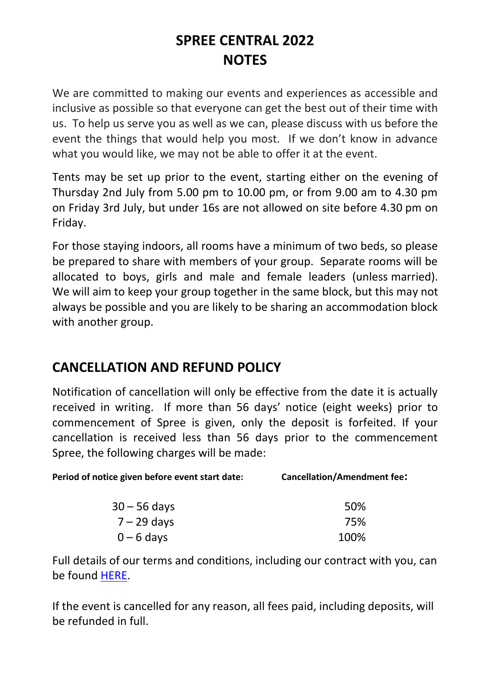# **SPREE CENTRAL 2022 NOTES**

We are committed to making our events and experiences as accessible and inclusive as possible so that everyone can get the best out of their time with us. To help us serve you as well as we can, please discuss with us before the event the things that would help you most. If we don't know in advance what you would like, we may not be able to offer it at the event.

Tents may be set up prior to the event, starting either on the evening of Thursday 2nd July from 5.00 pm to 10.00 pm, or from 9.00 am to 4.30 pm on Friday 3rd July, but under 16s are not allowed on site before 4.30 pm on Friday.

For those staying indoors, all rooms have a minimum of two beds, so please be prepared to share with members of your group. Separate rooms will be allocated to boys, girls and male and female leaders (unless married). We will aim to keep your group together in the same block, but this may not always be possible and you are likely to be sharing an accommodation block with another group.

### **CANCELLATION AND REFUND POLICY**

Notification of cancellation will only be effective from the date it is actually received in writing. If more than 56 days' notice (eight weeks) prior to commencement of Spree is given, only the deposit is forfeited. If your cancellation is received less than 56 days prior to the commencement Spree, the following charges will be made:

| Period of notice given before event start date: | <b>Cancellation/Amendment fee:</b> |
|-------------------------------------------------|------------------------------------|
|                                                 |                                    |

| 30 – 56 days | 50%  |
|--------------|------|
| 7 – 29 days  | 75%  |
| $0 - 6$ days | 100% |

Full details of our terms and conditions, including our contract with you, can be found [HERE.](https://www.urbansaints.org/downloads/Camps%20-%20General%20docs/Urban%20Saints%20Camps%20Terms%20%26%20Conditions%202021.pdf)

If the event is cancelled for any reason, all fees paid, including deposits, will be refunded in full.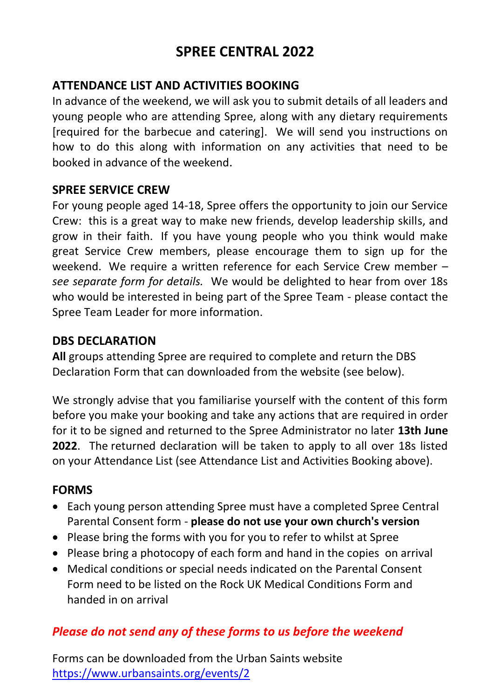### **SPREE CENTRAL 2022**

### **ATTENDANCE LIST AND ACTIVITIES BOOKING**

In advance of the weekend, we will ask you to submit details of all leaders and young people who are attending Spree, along with any dietary requirements [required for the barbecue and catering]. We will send you instructions on how to do this along with information on any activities that need to be booked in advance of the weekend.

#### **SPREE SERVICE CREW**

For young people aged 14-18, Spree offers the opportunity to join our Service Crew: this is a great way to make new friends, develop leadership skills, and grow in their faith. If you have young people who you think would make great Service Crew members, please encourage them to sign up for the weekend. We require a written reference for each Service Crew member – *see separate form for details.* We would be delighted to hear from over 18s who would be interested in being part of the Spree Team - please contact the Spree Team Leader for more information.

#### **DBS DECLARATION**

**All** groups attending Spree are required to complete and return the DBS Declaration Form that can downloaded from the website (see below).

We strongly advise that you familiarise yourself with the content of this form before you make your booking and take any actions that are required in order for it to be signed and returned to the Spree Administrator no later **13th June 2022**. The returned declaration will be taken to apply to all over 18s listed on your Attendance List (see Attendance List and Activities Booking above).

#### **FORMS**

- Each young person attending Spree must have a completed Spree Central Parental Consent form - **please do not use your own church's version**
- Please bring the forms with you for you to refer to whilst at Spree
- Please bring a photocopy of each form and hand in the copies on arrival
- Medical conditions or special needs indicated on the Parental Consent Form need to be listed on the Rock UK Medical Conditions Form and handed in on arrival

### *Please do not send any of these forms to us before the weekend*

Forms can be downloaded from the Urban Saints website <https://www.urbansaints.org/events/2>